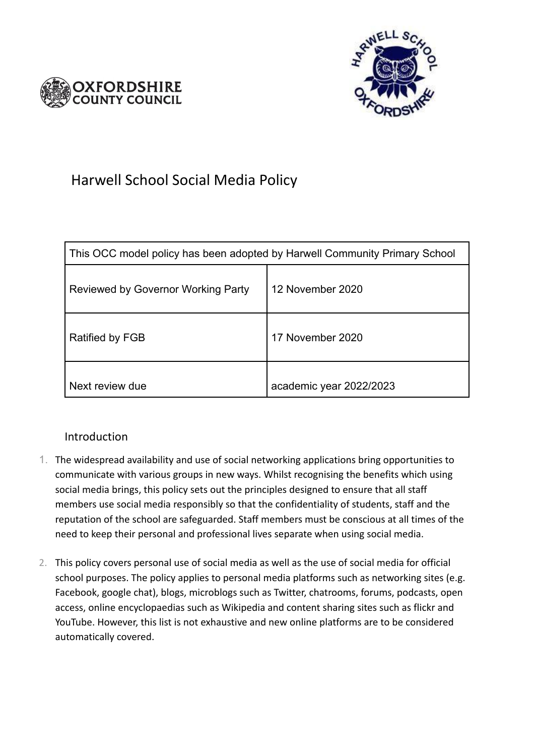



# Harwell School Social Media Policy

| This OCC model policy has been adopted by Harwell Community Primary School |                         |
|----------------------------------------------------------------------------|-------------------------|
| Reviewed by Governor Working Party                                         | 12 November 2020        |
| Ratified by FGB                                                            | 17 November 2020        |
| Next review due                                                            | academic year 2022/2023 |

# Introduction

- 1. The widespread availability and use of social networking applications bring opportunities to communicate with various groups in new ways. Whilst recognising the benefits which using social media brings, this policy sets out the principles designed to ensure that all staff members use social media responsibly so that the confidentiality of students, staff and the reputation of the school are safeguarded. Staff members must be conscious at all times of the need to keep their personal and professional lives separate when using social media.
- 2. This policy covers personal use of social media as well as the use of social media for official school purposes. The policy applies to personal media platforms such as networking sites (e.g. Facebook, google chat), blogs, microblogs such as Twitter, chatrooms, forums, podcasts, open access, online encyclopaedias such as Wikipedia and content sharing sites such as flickr and YouTube. However, this list is not exhaustive and new online platforms are to be considered automatically covered.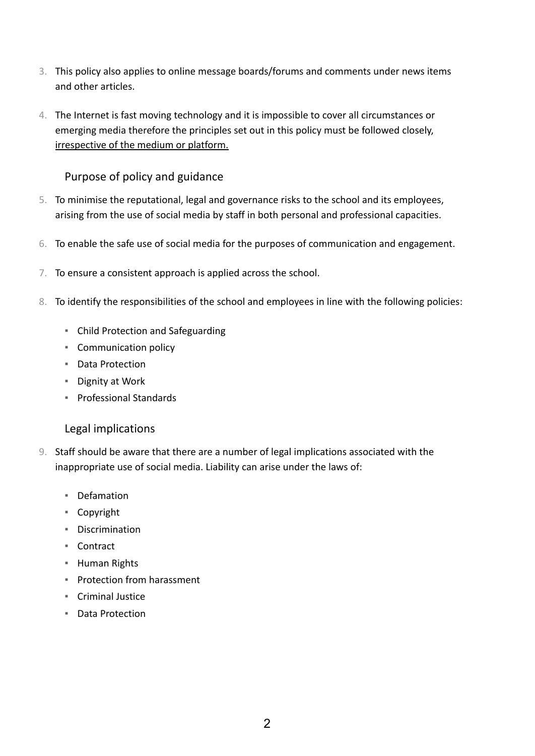- 3. This policy also applies to online message boards/forums and comments under news items and other articles.
- 4. The Internet is fast moving technology and it is impossible to cover all circumstances or emerging media therefore the principles set out in this policy must be followed closely, irrespective of the medium or platform.

# Purpose of policy and guidance

- 5. To minimise the reputational, legal and governance risks to the school and its employees, arising from the use of social media by staff in both personal and professional capacities.
- 6. To enable the safe use of social media for the purposes of communication and engagement.
- 7. To ensure a consistent approach is applied across the school.
- 8. To identify the responsibilities of the school and employees in line with the following policies:
	- Child Protection and Safeguarding
	- Communication policy
	- Data Protection
	- Dignity at Work
	- Professional Standards

#### Legal implications

- 9. Staff should be aware that there are a number of legal implications associated with the inappropriate use of social media. Liability can arise under the laws of:
	- Defamation
	- Copyright
	- Discrimination
	- Contract
	- Human Rights
	- Protection from harassment
	- Criminal Justice
	- Data Protection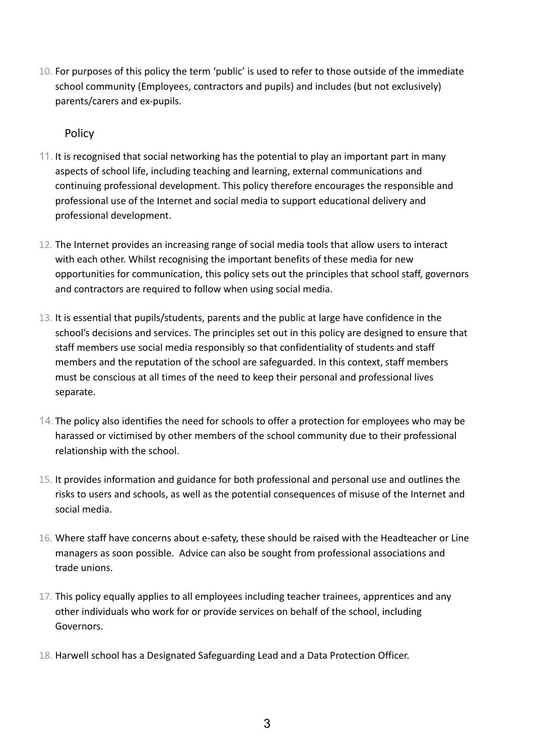10. For purposes of this policy the term 'public' is used to refer to those outside of the immediate school community (Employees, contractors and pupils) and includes (but not exclusively) parents/carers and ex-pupils.

## Policy

- 11. It is recognised that social networking has the potential to play an important part in many aspects of school life, including teaching and learning, external communications and continuing professional development. This policy therefore encourages the responsible and professional use of the Internet and social media to support educational delivery and professional development.
- 12. The Internet provides an increasing range of social media tools that allow users to interact with each other. Whilst recognising the important benefits of these media for new opportunities for communication, this policy sets out the principles that school staff, governors and contractors are required to follow when using social media.
- 13. It is essential that pupils/students, parents and the public at large have confidence in the school's decisions and services. The principles set out in this policy are designed to ensure that staff members use social media responsibly so that confidentiality of students and staff members and the reputation of the school are safeguarded. In this context, staff members must be conscious at all times of the need to keep their personal and professional lives separate.
- 14.The policy also identifies the need for schools to offer a protection for employees who may be harassed or victimised by other members of the school community due to their professional relationship with the school.
- 15. It provides information and guidance for both professional and personal use and outlines the risks to users and schools, as well as the potential consequences of misuse of the Internet and social media.
- 16. Where staff have concerns about e-safety, these should be raised with the Headteacher or Line managers as soon possible. Advice can also be sought from professional associations and trade unions.
- 17. This policy equally applies to all employees including teacher trainees, apprentices and any other individuals who work for or provide services on behalf of the school, including Governors.
- 18. Harwell school has a Designated Safeguarding Lead and a Data Protection Officer.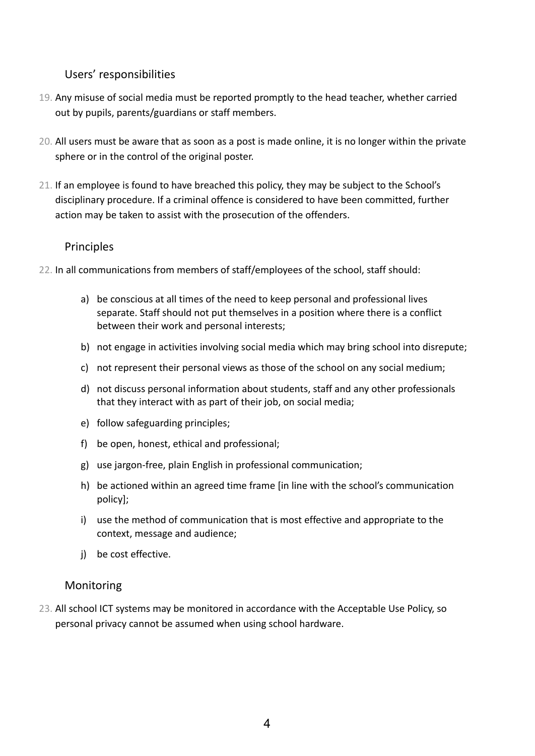#### Users' responsibilities

- 19. Any misuse of social media must be reported promptly to the head teacher, whether carried out by pupils, parents/guardians or staff members.
- 20. All users must be aware that as soon as a post is made online, it is no longer within the private sphere or in the control of the original poster.
- 21. If an employee is found to have breached this policy, they may be subject to the School's disciplinary procedure. If a criminal offence is considered to have been committed, further action may be taken to assist with the prosecution of the offenders.

# Principles

- 22. In all communications from members of staff/employees of the school, staff should:
	- a) be conscious at all times of the need to keep personal and professional lives separate. Staff should not put themselves in a position where there is a conflict between their work and personal interests;
	- b) not engage in activities involving social media which may bring school into disrepute;
	- c) not represent their personal views as those of the school on any social medium;
	- d) not discuss personal information about students, staff and any other professionals that they interact with as part of their job, on social media;
	- e) follow safeguarding principles;
	- f) be open, honest, ethical and professional;
	- g) use jargon-free, plain English in professional communication;
	- h) be actioned within an agreed time frame [in line with the school's communication policy];
	- i) use the method of communication that is most effective and appropriate to the context, message and audience;
	- j) be cost effective.

#### Monitoring

23. All school ICT systems may be monitored in accordance with the Acceptable Use Policy, so personal privacy cannot be assumed when using school hardware.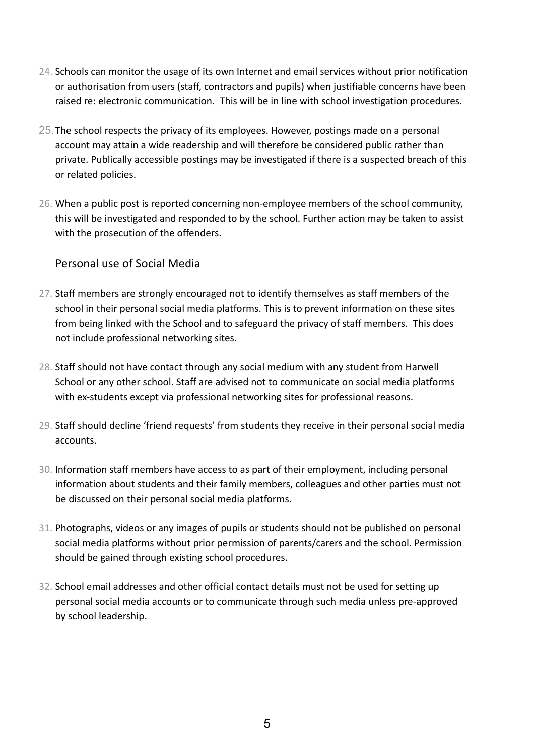- 24. Schools can monitor the usage of its own Internet and email services without prior notification or authorisation from users (staff, contractors and pupils) when justifiable concerns have been raised re: electronic communication. This will be in line with school investigation procedures.
- 25.The school respects the privacy of its employees. However, postings made on a personal account may attain a wide readership and will therefore be considered public rather than private. Publically accessible postings may be investigated if there is a suspected breach of this or related policies.
- 26. When a public post is reported concerning non-employee members of the school community, this will be investigated and responded to by the school. Further action may be taken to assist with the prosecution of the offenders.

## Personal use of Social Media

- 27. Staff members are strongly encouraged not to identify themselves as staff members of the school in their personal social media platforms. This is to prevent information on these sites from being linked with the School and to safeguard the privacy of staff members. This does not include professional networking sites.
- 28. Staff should not have contact through any social medium with any student from Harwell School or any other school. Staff are advised not to communicate on social media platforms with ex-students except via professional networking sites for professional reasons.
- 29. Staff should decline 'friend requests' from students they receive in their personal social media accounts.
- 30. Information staff members have access to as part of their employment, including personal information about students and their family members, colleagues and other parties must not be discussed on their personal social media platforms.
- 31. Photographs, videos or any images of pupils or students should not be published on personal social media platforms without prior permission of parents/carers and the school. Permission should be gained through existing school procedures.
- 32. School email addresses and other official contact details must not be used for setting up personal social media accounts or to communicate through such media unless pre-approved by school leadership.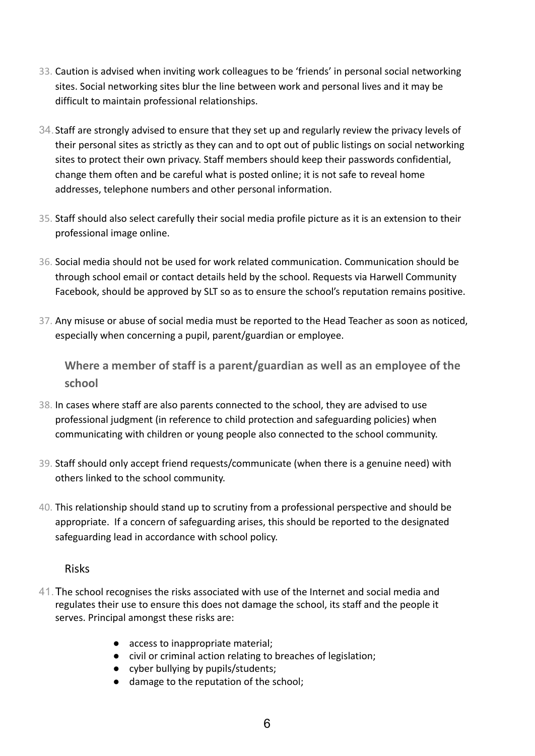- 33. Caution is advised when inviting work colleagues to be 'friends' in personal social networking sites. Social networking sites blur the line between work and personal lives and it may be difficult to maintain professional relationships.
- 34.Staff are strongly advised to ensure that they set up and regularly review the privacy levels of their personal sites as strictly as they can and to opt out of public listings on social networking sites to protect their own privacy. Staff members should keep their passwords confidential, change them often and be careful what is posted online; it is not safe to reveal home addresses, telephone numbers and other personal information.
- 35. Staff should also select carefully their social media profile picture as it is an extension to their professional image online.
- 36. Social media should not be used for work related communication. Communication should be through school email or contact details held by the school. Requests via Harwell Community Facebook, should be approved by SLT so as to ensure the school's reputation remains positive.
- 37. Any misuse or abuse of social media must be reported to the Head Teacher as soon as noticed, especially when concerning a pupil, parent/guardian or employee.

**Where a member of staff is a parent/guardian as well as an employee of the school**

- 38. In cases where staff are also parents connected to the school, they are advised to use professional judgment (in reference to child protection and safeguarding policies) when communicating with children or young people also connected to the school community.
- 39. Staff should only accept friend requests/communicate (when there is a genuine need) with others linked to the school community.
- 40. This relationship should stand up to scrutiny from a professional perspective and should be appropriate. If a concern of safeguarding arises, this should be reported to the designated safeguarding lead in accordance with school policy.

#### Risks

- 41.The school recognises the risks associated with use of the Internet and social media and regulates their use to ensure this does not damage the school, its staff and the people it serves. Principal amongst these risks are:
	- access to inappropriate material;
	- civil or criminal action relating to breaches of legislation;
	- cyber bullying by pupils/students;
	- damage to the reputation of the school;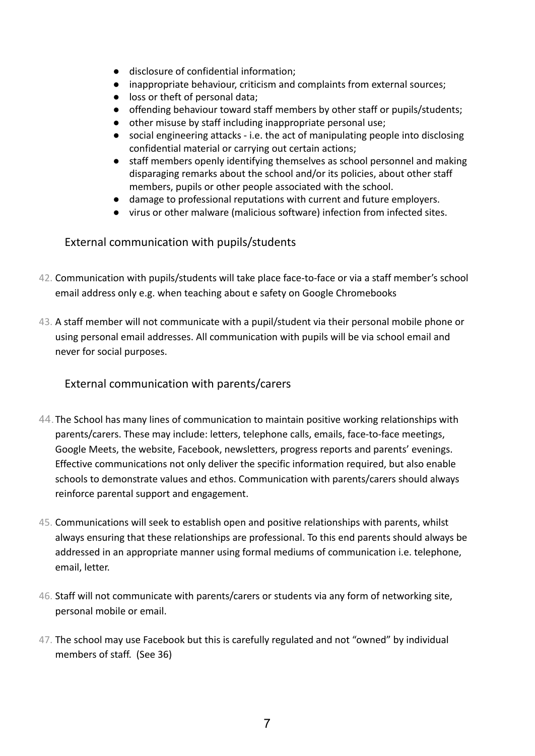- disclosure of confidential information;
- inappropriate behaviour, criticism and complaints from external sources;
- loss or theft of personal data:
- offending behaviour toward staff members by other staff or pupils/students;
- other misuse by staff including inappropriate personal use;
- social engineering attacks i.e. the act of manipulating people into disclosing confidential material or carrying out certain actions;
- staff members openly identifying themselves as school personnel and making disparaging remarks about the school and/or its policies, about other staff members, pupils or other people associated with the school.
- damage to professional reputations with current and future employers.
- virus or other malware (malicious software) infection from infected sites.

## External communication with pupils/students

- 42. Communication with pupils/students will take place face-to-face or via a staff member's school email address only e.g. when teaching about e safety on Google Chromebooks
- 43. A staff member will not communicate with a pupil/student via their personal mobile phone or using personal email addresses. All communication with pupils will be via school email and never for social purposes.

## External communication with parents/carers

- 44.The School has many lines of communication to maintain positive working relationships with parents/carers. These may include: letters, telephone calls, emails, face-to-face meetings, Google Meets, the website, Facebook, newsletters, progress reports and parents' evenings. Effective communications not only deliver the specific information required, but also enable schools to demonstrate values and ethos. Communication with parents/carers should always reinforce parental support and engagement.
- 45. Communications will seek to establish open and positive relationships with parents, whilst always ensuring that these relationships are professional. To this end parents should always be addressed in an appropriate manner using formal mediums of communication i.e. telephone, email, letter.
- 46. Staff will not communicate with parents/carers or students via any form of networking site, personal mobile or email.
- 47. The school may use Facebook but this is carefully regulated and not "owned" by individual members of staff. (See 36)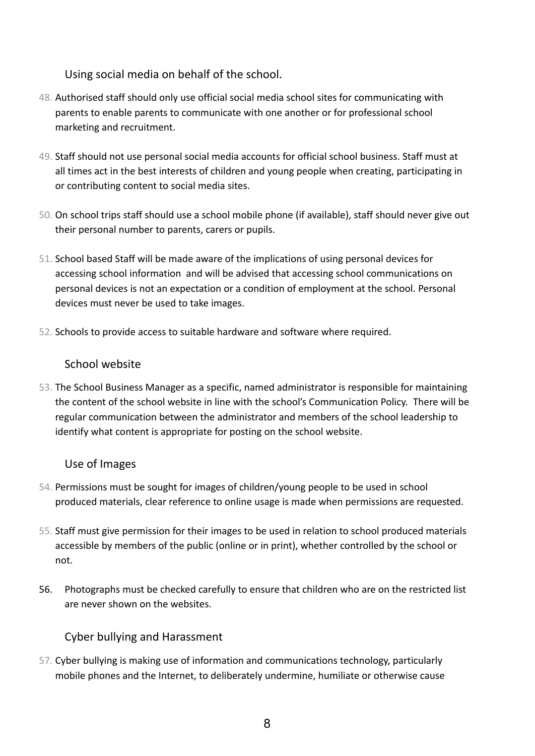Using social media on behalf of the school.

- 48. Authorised staff should only use official social media school sites for communicating with parents to enable parents to communicate with one another or for professional school marketing and recruitment.
- 49. Staff should not use personal social media accounts for official school business. Staff must at all times act in the best interests of children and young people when creating, participating in or contributing content to social media sites.
- 50. On school trips staff should use a school mobile phone (if available), staff should never give out their personal number to parents, carers or pupils.
- 51. School based Staff will be made aware of the implications of using personal devices for accessing school information and will be advised that accessing school communications on personal devices is not an expectation or a condition of employment at the school. Personal devices must never be used to take images.
- 52. Schools to provide access to suitable hardware and software where required.

## School website

53. The School Business Manager as a specific, named administrator is responsible for maintaining the content of the school website in line with the school's Communication Policy. There will be regular communication between the administrator and members of the school leadership to identify what content is appropriate for posting on the school website.

#### Use of Images

- 54. Permissions must be sought for images of children/young people to be used in school produced materials, clear reference to online usage is made when permissions are requested.
- 55. Staff must give permission for their images to be used in relation to school produced materials accessible by members of the public (online or in print), whether controlled by the school or not.
- 56. Photographs must be checked carefully to ensure that children who are on the restricted list are never shown on the websites.

# Cyber bullying and Harassment

57. Cyber bullying is making use of information and communications technology, particularly mobile phones and the Internet, to deliberately undermine, humiliate or otherwise cause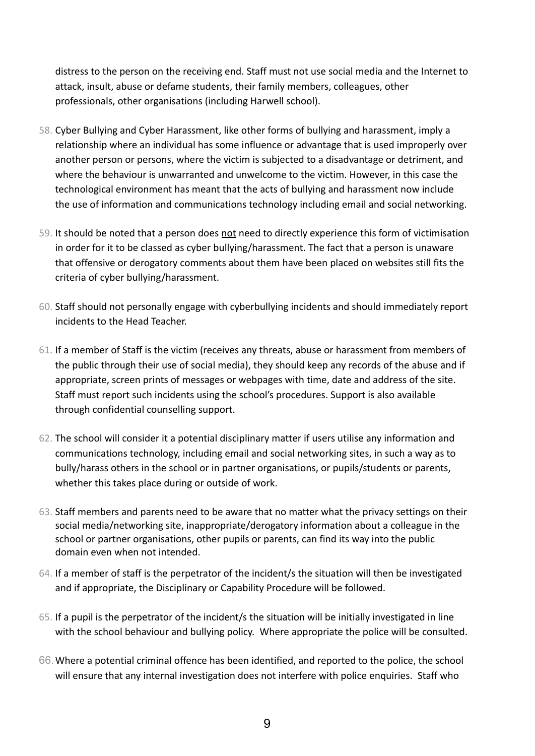distress to the person on the receiving end. Staff must not use social media and the Internet to attack, insult, abuse or defame students, their family members, colleagues, other professionals, other organisations (including Harwell school).

- 58. Cyber Bullying and Cyber Harassment, like other forms of bullying and harassment, imply a relationship where an individual has some influence or advantage that is used improperly over another person or persons, where the victim is subjected to a disadvantage or detriment, and where the behaviour is unwarranted and unwelcome to the victim. However, in this case the technological environment has meant that the acts of bullying and harassment now include the use of information and communications technology including email and social networking.
- 59. It should be noted that a person does not need to directly experience this form of victimisation in order for it to be classed as cyber bullying/harassment. The fact that a person is unaware that offensive or derogatory comments about them have been placed on websites still fits the criteria of cyber bullying/harassment.
- 60. Staff should not personally engage with cyberbullying incidents and should immediately report incidents to the Head Teacher.
- 61. If a member of Staff is the victim (receives any threats, abuse or harassment from members of the public through their use of social media), they should keep any records of the abuse and if appropriate, screen prints of messages or webpages with time, date and address of the site. Staff must report such incidents using the school's procedures. Support is also available through confidential counselling support.
- 62. The school will consider it a potential disciplinary matter if users utilise any information and communications technology, including email and social networking sites, in such a way as to bully/harass others in the school or in partner organisations, or pupils/students or parents, whether this takes place during or outside of work.
- 63. Staff members and parents need to be aware that no matter what the privacy settings on their social media/networking site, inappropriate/derogatory information about a colleague in the school or partner organisations, other pupils or parents, can find its way into the public domain even when not intended.
- 64. If a member of staff is the perpetrator of the incident/s the situation will then be investigated and if appropriate, the Disciplinary or Capability Procedure will be followed.
- 65. If a pupil is the perpetrator of the incident/s the situation will be initially investigated in line with the school behaviour and bullying policy. Where appropriate the police will be consulted.
- 66.Where a potential criminal offence has been identified, and reported to the police, the school will ensure that any internal investigation does not interfere with police enquiries. Staff who